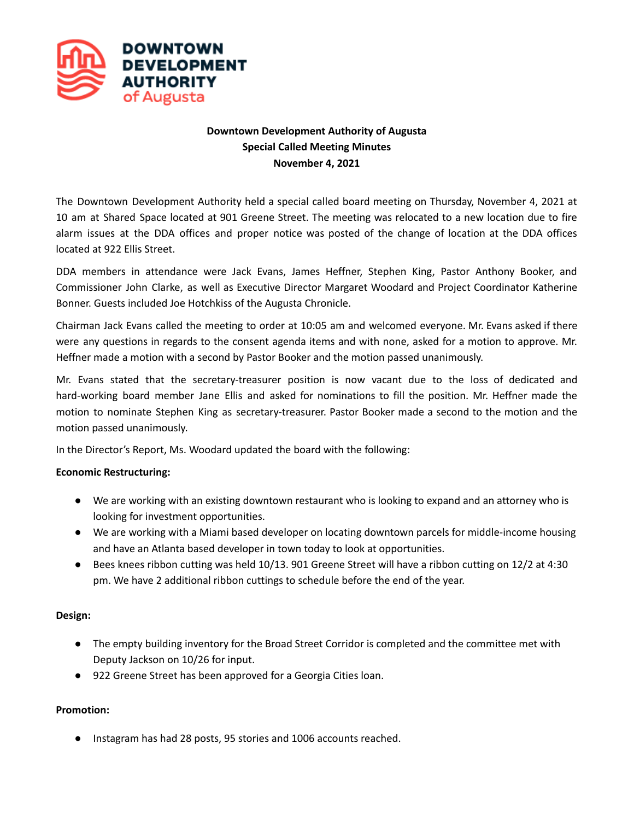

# **Downtown Development Authority of Augusta Special Called Meeting Minutes November 4, 2021**

The Downtown Development Authority held a special called board meeting on Thursday, November 4, 2021 at 10 am at Shared Space located at 901 Greene Street. The meeting was relocated to a new location due to fire alarm issues at the DDA offices and proper notice was posted of the change of location at the DDA offices located at 922 Ellis Street.

DDA members in attendance were Jack Evans, James Heffner, Stephen King, Pastor Anthony Booker, and Commissioner John Clarke, as well as Executive Director Margaret Woodard and Project Coordinator Katherine Bonner. Guests included Joe Hotchkiss of the Augusta Chronicle.

Chairman Jack Evans called the meeting to order at 10:05 am and welcomed everyone. Mr. Evans asked if there were any questions in regards to the consent agenda items and with none, asked for a motion to approve. Mr. Heffner made a motion with a second by Pastor Booker and the motion passed unanimously.

Mr. Evans stated that the secretary-treasurer position is now vacant due to the loss of dedicated and hard-working board member Jane Ellis and asked for nominations to fill the position. Mr. Heffner made the motion to nominate Stephen King as secretary-treasurer. Pastor Booker made a second to the motion and the motion passed unanimously.

In the Director's Report, Ms. Woodard updated the board with the following:

## **Economic Restructuring:**

- We are working with an existing downtown restaurant who is looking to expand and an attorney who is looking for investment opportunities.
- We are working with a Miami based developer on locating downtown parcels for middle-income housing and have an Atlanta based developer in town today to look at opportunities.
- Bees knees ribbon cutting was held 10/13. 901 Greene Street will have a ribbon cutting on 12/2 at 4:30 pm. We have 2 additional ribbon cuttings to schedule before the end of the year.

#### **Design:**

- The empty building inventory for the Broad Street Corridor is completed and the committee met with Deputy Jackson on 10/26 for input.
- 922 Greene Street has been approved for a Georgia Cities loan.

## **Promotion:**

Instagram has had 28 posts, 95 stories and 1006 accounts reached.